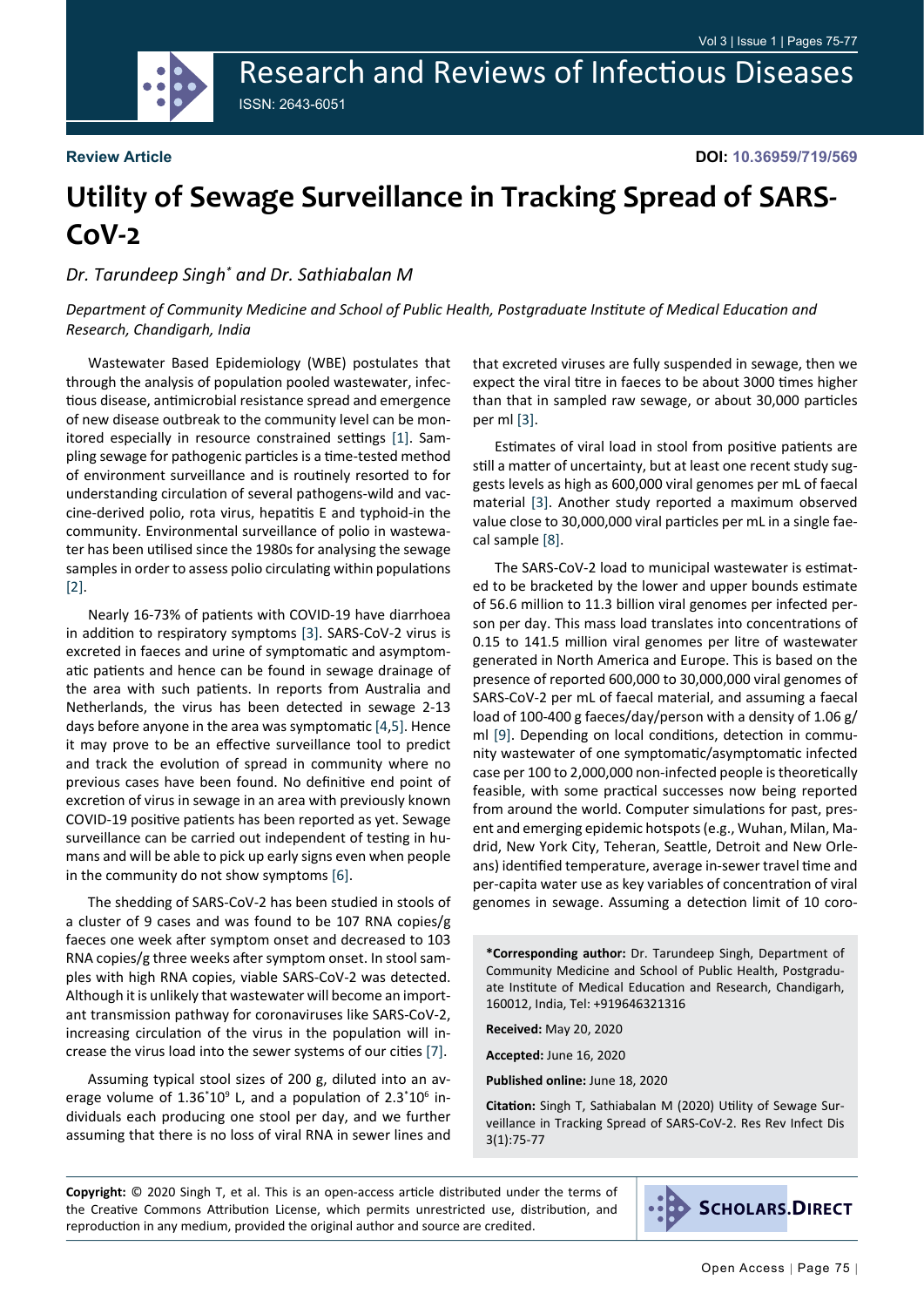Research and Reviews of Infectious Diseases ISSN: 2643-6051

#### **Review Article**

**DOI: 10.36959/719/569**

# **Utility of Sewage Surveillance in Tracking Spread of SARS-CoV-2**

### *Dr. Tarundeep Singh\* and Dr. Sathiabalan M*

*Department of Community Medicine and School of Public Health, Postgraduate Institute of Medical Education and Research, Chandigarh, India*

Wastewater Based Epidemiology (WBE) postulates that through the analysis of population pooled wastewater, infectious disease, antimicrobial resistance spread and emergence of new disease outbreak to the community level can be monitored especially in resource constrained settings [[1\]](#page-2-0). Sampling sewage for pathogenic particles is a time-tested method of environment surveillance and is routinely resorted to for understanding circulation of several pathogens-wild and vaccine-derived polio, rota virus, hepatitis E and typhoid-in the community. Environmental surveillance of polio in wastewater has been utilised since the 1980s for analysing the sewage samples in order to assess polio circulating within populations [[2\]](#page-2-1).

Nearly 16-73% of patients with COVID-19 have diarrhoea in addition to respiratory symptoms [\[3](#page-2-2)]. SARS-CoV-2 virus is excreted in faeces and urine of symptomatic and asymptomatic patients and hence can be found in sewage drainage of the area with such patients. In reports from Australia and Netherlands, the virus has been detected in sewage 2-13 days before anyone in the area was symptomatic [[4](#page-2-3)[,5](#page-2-4)]. Hence it may prove to be an effective surveillance tool to predict and track the evolution of spread in community where no previous cases have been found. No definitive end point of excretion of virus in sewage in an area with previously known COVID-19 positive patients has been reported as yet. Sewage surveillance can be carried out independent of testing in humans and will be able to pick up early signs even when people in the community do not show symptoms [[6\]](#page-2-5).

The shedding of SARS-CoV-2 has been studied in stools of a cluster of 9 cases and was found to be 107 RNA copies/g faeces one week after symptom onset and decreased to 103 RNA copies/g three weeks after symptom onset. In stool samples with high RNA copies, viable SARS-CoV-2 was detected. Although it is unlikely that wastewater will become an important transmission pathway for coronaviruses like SARS-CoV-2, increasing circulation of the virus in the population will increase the virus load into the sewer systems of our cities [[7\]](#page-2-6).

Assuming typical stool sizes of 200 g, diluted into an average volume of  $1.36^*10^9$  L, and a population of  $2.3^*10^6$  individuals each producing one stool per day, and we further assuming that there is no loss of viral RNA in sewer lines and that excreted viruses are fully suspended in sewage, then we expect the viral titre in faeces to be about 3000 times higher than that in sampled raw sewage, or about 30,000 particles per ml [\[3](#page-2-2)].

Estimates of viral load in stool from positive patients are still a matter of uncertainty, but at least one recent study suggests levels as high as 600,000 viral genomes per mL of faecal material [\[3](#page-2-2)]. Another study reported a maximum observed value close to 30,000,000 viral particles per mL in a single faecal sample [[8\]](#page-2-7).

The SARS-CoV-2 load to municipal wastewater is estimated to be bracketed by the lower and upper bounds estimate of 56.6 million to 11.3 billion viral genomes per infected person per day. This mass load translates into concentrations of 0.15 to 141.5 million viral genomes per litre of wastewater generated in North America and Europe. This is based on the presence of reported 600,000 to 30,000,000 viral genomes of SARS-CoV-2 per mL of faecal material, and assuming a faecal load of 100-400 g faeces/day/person with a density of 1.06 g/ ml [\[9](#page-2-8)]. Depending on local conditions, detection in community wastewater of one symptomatic/asymptomatic infected case per 100 to 2,000,000 non-infected people is theoretically feasible, with some practical successes now being reported from around the world. Computer simulations for past, present and emerging epidemic hotspots (e.g., Wuhan, Milan, Madrid, New York City, Teheran, Seattle, Detroit and New Orleans) identified temperature, average in-sewer travel time and per-capita water use as key variables of concentration of viral genomes in sewage. Assuming a detection limit of 10 coro-

**\*Corresponding author:** Dr. Tarundeep Singh, Department of Community Medicine and School of Public Health, Postgraduate Institute of Medical Education and Research, Chandigarh, 160012, India, Tel: +919646321316

**Received:** May 20, 2020

**Accepted:** June 16, 2020

**Published online:** June 18, 2020

**Citation:** Singh T, Sathiabalan M (2020) Utility of Sewage Surveillance in Tracking Spread of SARS-CoV-2. Res Rev Infect Dis 3(1):75-77

**Copyright:** © 2020 Singh T, et al. This is an open-access article distributed under the terms of the Creative Commons Attribution License, which permits unrestricted use, distribution, and reproduction in any medium, provided the original author and source are credited.

**SCHOLARS.DIRECT**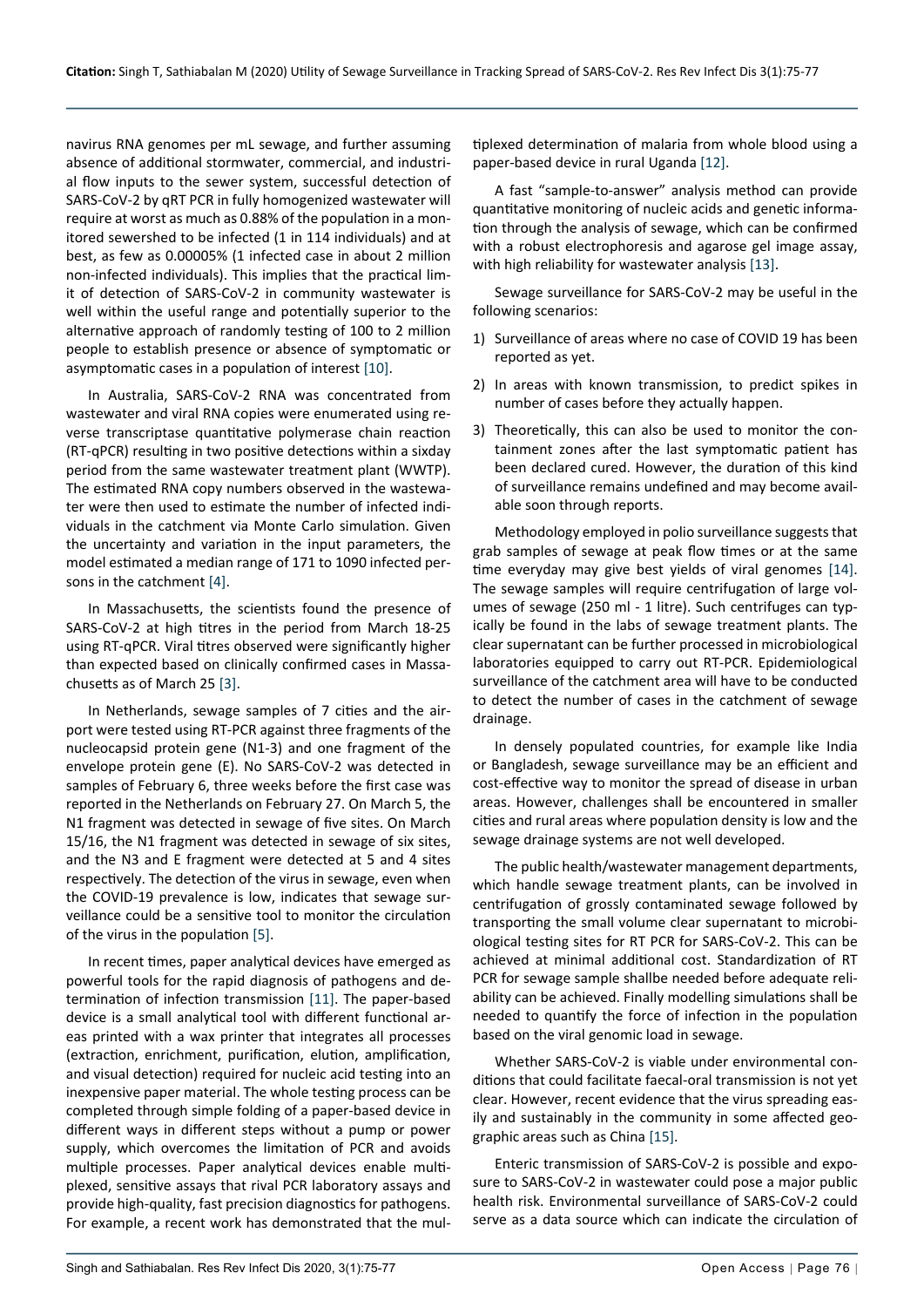navirus RNA genomes per mL sewage, and further assuming absence of additional stormwater, commercial, and industrial flow inputs to the sewer system, successful detection of SARS-CoV-2 by qRT PCR in fully homogenized wastewater will require at worst as much as 0.88% of the population in a monitored sewershed to be infected (1 in 114 individuals) and at best, as few as 0.00005% (1 infected case in about 2 million non-infected individuals). This implies that the practical limit of detection of SARS-CoV-2 in community wastewater is well within the useful range and potentially superior to the alternative approach of randomly testing of 100 to 2 million people to establish presence or absence of symptomatic or asymptomatic cases in a population of interest [\[10\]](#page-2-13).

In Australia, SARS-CoV-2 RNA was concentrated from wastewater and viral RNA copies were enumerated using reverse transcriptase quantitative polymerase chain reaction (RT-qPCR) resulting in two positive detections within a sixday period from the same wastewater treatment plant (WWTP). The estimated RNA copy numbers observed in the wastewater were then used to estimate the number of infected individuals in the catchment via Monte Carlo simulation. Given the uncertainty and variation in the input parameters, the model estimated a median range of 171 to 1090 infected persons in the catchment [[4\]](#page-2-3).

In Massachusetts, the scientists found the presence of SARS-CoV-2 at high titres in the period from March 18-25 using RT-qPCR. Viral titres observed were significantly higher than expected based on clinically confirmed cases in Massachusetts as of March 25 [\[3](#page-2-2)].

In Netherlands, sewage samples of 7 cities and the airport were tested using RT-PCR against three fragments of the nucleocapsid protein gene (N1-3) and one fragment of the envelope protein gene (E). No SARS-CoV-2 was detected in samples of February 6, three weeks before the first case was reported in the Netherlands on February 27. On March 5, the N1 fragment was detected in sewage of five sites. On March 15/16, the N1 fragment was detected in sewage of six sites, and the N3 and E fragment were detected at 5 and 4 sites respectively. The detection of the virus in sewage, even when the COVID-19 prevalence is low, indicates that sewage surveillance could be a sensitive tool to monitor the circulation of the virus in the population [[5\]](#page-2-4).

In recent times, paper analytical devices have emerged as powerful tools for the rapid diagnosis of pathogens and determination of infection transmission [\[11\]](#page-2-14). The paper-based device is a small analytical tool with different functional areas printed with a wax printer that integrates all processes (extraction, enrichment, purification, elution, amplification, and visual detection) required for nucleic acid testing into an inexpensive paper material. The whole testing process can be completed through simple folding of a paper-based device in different ways in different steps without a pump or power supply, which overcomes the limitation of PCR and avoids multiple processes. Paper analytical devices enable multiplexed, sensitive assays that rival PCR laboratory assays and provide high-quality, fast precision diagnostics for pathogens. For example, a recent work has demonstrated that the multiplexed determination of malaria from whole blood using a paper-based device in rural Uganda [\[12\]](#page-2-9).

A fast "sample-to-answer" analysis method can provide quantitative monitoring of nucleic acids and genetic information through the analysis of sewage, which can be confirmed with a robust electrophoresis and agarose gel image assay, with high reliability for wastewater analysis [\[13](#page-2-10)].

Sewage surveillance for SARS-CoV-2 may be useful in the following scenarios:

- 1) Surveillance of areas where no case of COVID 19 has been reported as yet.
- 2) In areas with known transmission, to predict spikes in number of cases before they actually happen.
- 3) Theoretically, this can also be used to monitor the containment zones after the last symptomatic patient has been declared cured. However, the duration of this kind of surveillance remains undefined and may become available soon through reports.

Methodology employed in polio surveillance suggests that grab samples of sewage at peak flow times or at the same time everyday may give best yields of viral genomes [\[14](#page-2-11)]. The sewage samples will require centrifugation of large volumes of sewage (250 ml - 1 litre). Such centrifuges can typically be found in the labs of sewage treatment plants. The clear supernatant can be further processed in microbiological laboratories equipped to carry out RT-PCR. Epidemiological surveillance of the catchment area will have to be conducted to detect the number of cases in the catchment of sewage drainage.

In densely populated countries, for example like India or Bangladesh, sewage surveillance may be an efficient and cost-effective way to monitor the spread of disease in urban areas. However, challenges shall be encountered in smaller cities and rural areas where population density is low and the sewage drainage systems are not well developed.

The public health/wastewater management departments, which handle sewage treatment plants, can be involved in centrifugation of grossly contaminated sewage followed by transporting the small volume clear supernatant to microbiological testing sites for RT PCR for SARS-CoV-2. This can be achieved at minimal additional cost. Standardization of RT PCR for sewage sample shallbe needed before adequate reliability can be achieved. Finally modelling simulations shall be needed to quantify the force of infection in the population based on the viral genomic load in sewage.

Whether SARS-CoV-2 is viable under environmental conditions that could facilitate faecal-oral transmission is not yet clear. However, recent evidence that the virus spreading easily and sustainably in the community in some affected geographic areas such as China [\[15](#page-2-12)].

Enteric transmission of SARS-CoV-2 is possible and exposure to SARS-CoV-2 in wastewater could pose a major public health risk. Environmental surveillance of SARS-CoV-2 could serve as a data source which can indicate the circulation of